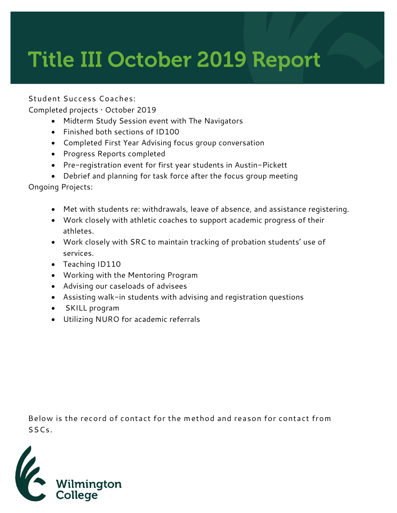## **Title III October 2019 Report**

**Student Success Coaches:**

Completed projects • October 2019

- Midterm Study Session event with The Navigators
- Finished both sections of ID100
- Completed First Year Advising focus group conversation
- Progress Reports completed
- Pre-registration event for first year students in Austin-Pickett
- Debrief and planning for task force after the focus group meeting

Ongoing Projects:

- Met with students re: withdrawals, leave of absence, and assistance registering.
- Work closely with athletic coaches to support academic progress of their athletes.
- Work closely with SRC to maintain tracking of probation students' use of services.
- Teaching ID110
- Working with the Mentoring Program
- Advising our caseloads of advisees
- Assisting walk-in students with advising and registration questions
- SKILL program
- Utilizing NURO for academic referrals

**Below is the record of contact for the method and reason for contact from SSCs.** 

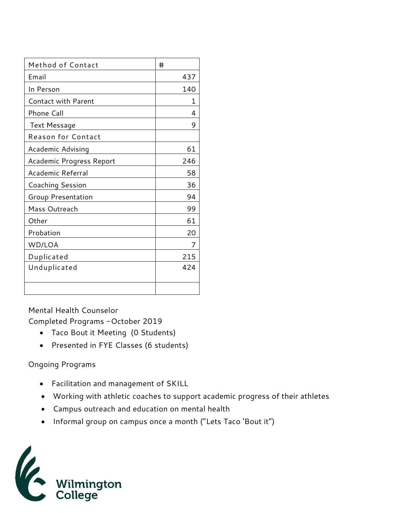| Method of Contact          | #   |
|----------------------------|-----|
| Email                      | 437 |
| In Person                  | 140 |
| <b>Contact with Parent</b> | 1   |
| Phone Call                 | 4   |
| Text Message               | 9   |
| <b>Reason for Contact</b>  |     |
| Academic Advising          | 61  |
| Academic Progress Report   | 246 |
| Academic Referral          | 58  |
| <b>Coaching Session</b>    | 36  |
| Group Presentation         | 94  |
| Mass Outreach              | 99  |
| Other                      | 61  |
| Probation                  | 20  |
| WD/LOA                     | 7   |
| Duplicated                 | 215 |
| Unduplicated               | 424 |
|                            |     |
|                            |     |

Mental Health Counselor Completed Programs -October 2019

- Taco Bout it Meeting (0 Students)
- Presented in FYE Classes (6 students)

## Ongoing Programs

- Facilitation and management of SKILL
- Working with athletic coaches to support academic progress of their athletes
- Campus outreach and education on mental health
- Informal group on campus once a month ("Lets Taco 'Bout it")